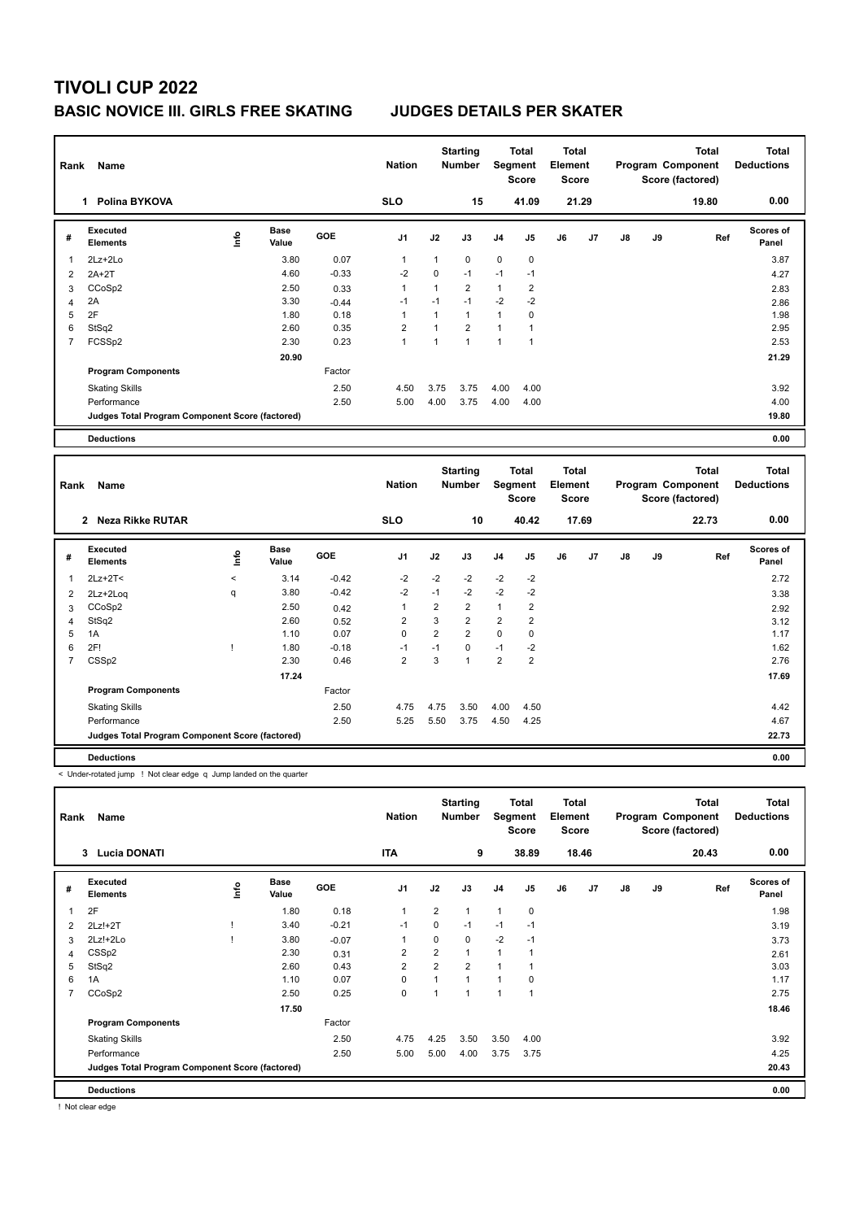# **TIVOLI CUP 2022**

## **BASIC NOVICE III. GIRLS FREE SKATING JUDGES DETAILS PER SKATER**

| Rank           | Name<br>1                                       |      |                      |            | <b>Nation</b>  |                | <b>Starting</b><br><b>Number</b> |                | <b>Total</b><br>Segment<br><b>Score</b> | <b>Total</b><br>Element<br>Score |       |               |    | <b>Total</b><br>Program Component<br>Score (factored) | Total<br><b>Deductions</b>        |
|----------------|-------------------------------------------------|------|----------------------|------------|----------------|----------------|----------------------------------|----------------|-----------------------------------------|----------------------------------|-------|---------------|----|-------------------------------------------------------|-----------------------------------|
|                | Polina BYKOVA                                   |      |                      |            | <b>SLO</b>     |                | 15                               |                | 41.09                                   |                                  | 21.29 |               |    | 19.80                                                 | 0.00                              |
| #              | Executed<br><b>Elements</b>                     | lnfo | <b>Base</b><br>Value | <b>GOE</b> | J <sub>1</sub> | J2             | J3                               | J <sub>4</sub> | J <sub>5</sub>                          | J6                               | J7    | $\mathsf{J}8$ | J9 | Ref                                                   | <b>Scores of</b><br>Panel         |
| 1              | $2Lz+2Lo$                                       |      | 3.80                 | 0.07       | 1              | 1              | $\mathbf 0$                      | $\mathbf 0$    | $\mathbf 0$                             |                                  |       |               |    |                                                       | 3.87                              |
| 2              | $2A+2T$                                         |      | 4.60                 | $-0.33$    | $-2$           | 0              | $-1$                             | $-1$           | $-1$                                    |                                  |       |               |    |                                                       | 4.27                              |
| 3              | CCoSp2                                          |      | 2.50                 | 0.33       | 1              | 1              | $\overline{2}$                   | $\mathbf{1}$   | $\overline{2}$                          |                                  |       |               |    |                                                       | 2.83                              |
| 4              | 2A                                              |      | 3.30                 | $-0.44$    | $-1$           | $-1$           | $-1$                             | $-2$           | $-2$                                    |                                  |       |               |    |                                                       | 2.86                              |
| 5              | 2F                                              |      | 1.80                 | 0.18       | 1              | 1              | $\mathbf{1}$                     | $\mathbf{1}$   | 0                                       |                                  |       |               |    |                                                       | 1.98                              |
| 6              | StSq2                                           |      | 2.60                 | 0.35       | $\overline{2}$ | $\overline{1}$ | $\overline{2}$                   | 1              | 1                                       |                                  |       |               |    |                                                       | 2.95                              |
| $\overline{7}$ | FCSSp2                                          |      | 2.30                 | 0.23       | $\mathbf{1}$   | 1              | $\mathbf{1}$                     | $\mathbf{1}$   | $\overline{1}$                          |                                  |       |               |    |                                                       | 2.53                              |
|                |                                                 |      | 20.90                |            |                |                |                                  |                |                                         |                                  |       |               |    |                                                       | 21.29                             |
|                | <b>Program Components</b>                       |      |                      | Factor     |                |                |                                  |                |                                         |                                  |       |               |    |                                                       |                                   |
|                | <b>Skating Skills</b>                           |      |                      | 2.50       | 4.50           | 3.75           | 3.75                             | 4.00           | 4.00                                    |                                  |       |               |    |                                                       | 3.92                              |
|                | Performance                                     |      |                      | 2.50       | 5.00           | 4.00           | 3.75                             | 4.00           | 4.00                                    |                                  |       |               |    |                                                       | 4.00                              |
|                | Judges Total Program Component Score (factored) |      |                      |            |                |                |                                  |                |                                         |                                  |       |               |    |                                                       | 19.80                             |
|                | <b>Deductions</b>                               |      |                      |            |                |                |                                  |                |                                         |                                  |       |               |    |                                                       | 0.00                              |
|                |                                                 |      |                      |            |                |                |                                  |                |                                         |                                  |       |               |    |                                                       |                                   |
| <b>Dank</b>    | Namo                                            |      |                      |            | <b>Nation</b>  |                | <b>Starting</b><br>Numhar        | Seament        | <b>Total</b>                            | <b>Total</b><br>Flament          |       |               |    | <b>Total</b><br>Program Component                     | <b>Total</b><br><b>Deductions</b> |

| Rank | Name                                            |                          |               |         | <b>Nation</b>  |                | Number         |                | Segment<br>Score | Element | <b>Score</b> |    |    | Program Component<br>Score (factored) | <b>Deductions</b>  |
|------|-------------------------------------------------|--------------------------|---------------|---------|----------------|----------------|----------------|----------------|------------------|---------|--------------|----|----|---------------------------------------|--------------------|
|      | Neza Rikke RUTAR<br>$\mathbf{2}$                |                          |               |         | <b>SLO</b>     |                | 10             |                | 40.42            |         | 17.69        |    |    | 22.73                                 | 0.00               |
| #    | Executed<br><b>Elements</b>                     | ١nf٥                     | Base<br>Value | GOE     | J1             | J2             | J3             | J <sub>4</sub> | J5               | J6      | J7           | J8 | J9 | Ref                                   | Scores of<br>Panel |
|      | $2Lz+2T2$                                       | $\overline{\phantom{a}}$ | 3.14          | $-0.42$ | $-2$           | $-2$           | $-2$           | $-2$           | $-2$             |         |              |    |    |                                       | 2.72               |
| 2    | 2Lz+2Loq                                        | q                        | 3.80          | $-0.42$ | $-2$           | $-1$           | $-2$           | $-2$           | $-2$             |         |              |    |    |                                       | 3.38               |
| 3    | CCoSp2                                          |                          | 2.50          | 0.42    |                | $\overline{2}$ | 2              | $\mathbf{1}$   | 2                |         |              |    |    |                                       | 2.92               |
| 4    | StSq2                                           |                          | 2.60          | 0.52    | 2              | 3              | $\overline{2}$ | $\overline{2}$ | $\overline{2}$   |         |              |    |    |                                       | 3.12               |
| 5    | 1A                                              |                          | 1.10          | 0.07    | 0              | $\overline{2}$ | $\overline{2}$ | $\mathbf 0$    | 0                |         |              |    |    |                                       | 1.17               |
| 6    | 2F!                                             |                          | 1.80          | $-0.18$ | $-1$           | $-1$           | 0              | $-1$           | $-2$             |         |              |    |    |                                       | 1.62               |
|      | CSS <sub>p2</sub>                               |                          | 2.30          | 0.46    | $\overline{2}$ | 3              |                | $\overline{2}$ | $\overline{2}$   |         |              |    |    |                                       | 2.76               |
|      |                                                 |                          | 17.24         |         |                |                |                |                |                  |         |              |    |    |                                       | 17.69              |
|      | <b>Program Components</b>                       |                          |               | Factor  |                |                |                |                |                  |         |              |    |    |                                       |                    |
|      | <b>Skating Skills</b>                           |                          |               | 2.50    | 4.75           | 4.75           | 3.50           | 4.00           | 4.50             |         |              |    |    |                                       | 4.42               |
|      | Performance                                     |                          |               | 2.50    | 5.25           | 5.50           | 3.75           | 4.50           | 4.25             |         |              |    |    |                                       | 4.67               |
|      | Judges Total Program Component Score (factored) |                          |               |         |                |                |                |                |                  |         |              |    |    |                                       | 22.73              |
|      | <b>Deductions</b>                               |                          |               |         |                |                |                |                |                  |         |              |    |    |                                       | 0.00               |

< Under-rotated jump ! Not clear edge q Jump landed on the quarter

| Rank | Name                                            |      |                      |         | <b>Nation</b>  |                | <b>Starting</b><br>Number | Segment        | <b>Total</b><br><b>Score</b> | <b>Total</b><br>Element<br><b>Score</b> |                |               |    | <b>Total</b><br>Program Component<br>Score (factored) | <b>Total</b><br><b>Deductions</b> |
|------|-------------------------------------------------|------|----------------------|---------|----------------|----------------|---------------------------|----------------|------------------------------|-----------------------------------------|----------------|---------------|----|-------------------------------------------------------|-----------------------------------|
|      | <b>Lucia DONATI</b><br>3                        |      |                      |         | <b>ITA</b>     |                | 9                         |                | 38.89                        |                                         | 18.46          |               |    | 20.43                                                 | 0.00                              |
| #    | Executed<br><b>Elements</b>                     | lnfo | <b>Base</b><br>Value | GOE     | J <sub>1</sub> | J2             | J3                        | J <sub>4</sub> | J <sub>5</sub>               | J6                                      | J <sub>7</sub> | $\mathsf{J}8$ | J9 | Ref                                                   | <b>Scores of</b><br>Panel         |
|      | 2F                                              |      | 1.80                 | 0.18    | $\overline{1}$ | $\overline{2}$ | $\mathbf{1}$              | $\mathbf{1}$   | 0                            |                                         |                |               |    |                                                       | 1.98                              |
| 2    | 2Lz!+2T                                         |      | 3.40                 | $-0.21$ | $-1$           | 0              | $-1$                      | $-1$           | $-1$                         |                                         |                |               |    |                                                       | 3.19                              |
| 3    | 2Lz!+2Lo                                        |      | 3.80                 | $-0.07$ | 1              | $\mathbf 0$    | $\mathbf 0$               | $-2$           | $-1$                         |                                         |                |               |    |                                                       | 3.73                              |
| 4    | CSSp2                                           |      | 2.30                 | 0.31    | $\overline{2}$ | $\overline{2}$ | $\mathbf{1}$              | $\mathbf{1}$   | 1                            |                                         |                |               |    |                                                       | 2.61                              |
| 5    | StSq2                                           |      | 2.60                 | 0.43    | $\overline{2}$ | $\overline{2}$ | $\overline{2}$            | $\mathbf{1}$   |                              |                                         |                |               |    |                                                       | 3.03                              |
| 6    | 1A                                              |      | 1.10                 | 0.07    | $\mathbf 0$    |                | $\mathbf{1}$              | 1              | 0                            |                                         |                |               |    |                                                       | 1.17                              |
| 7    | CCoSp2                                          |      | 2.50                 | 0.25    | 0              |                | $\overline{1}$            | 1              | 1                            |                                         |                |               |    |                                                       | 2.75                              |
|      |                                                 |      | 17.50                |         |                |                |                           |                |                              |                                         |                |               |    |                                                       | 18.46                             |
|      | <b>Program Components</b>                       |      |                      | Factor  |                |                |                           |                |                              |                                         |                |               |    |                                                       |                                   |
|      | <b>Skating Skills</b>                           |      |                      | 2.50    | 4.75           | 4.25           | 3.50                      | 3.50           | 4.00                         |                                         |                |               |    |                                                       | 3.92                              |
|      | Performance                                     |      |                      | 2.50    | 5.00           | 5.00           | 4.00                      | 3.75           | 3.75                         |                                         |                |               |    |                                                       | 4.25                              |
|      | Judges Total Program Component Score (factored) |      |                      |         |                |                |                           |                |                              |                                         |                |               |    |                                                       | 20.43                             |
|      | <b>Deductions</b>                               |      |                      |         |                |                |                           |                |                              |                                         |                |               |    |                                                       | 0.00                              |

! Not clear edge

- I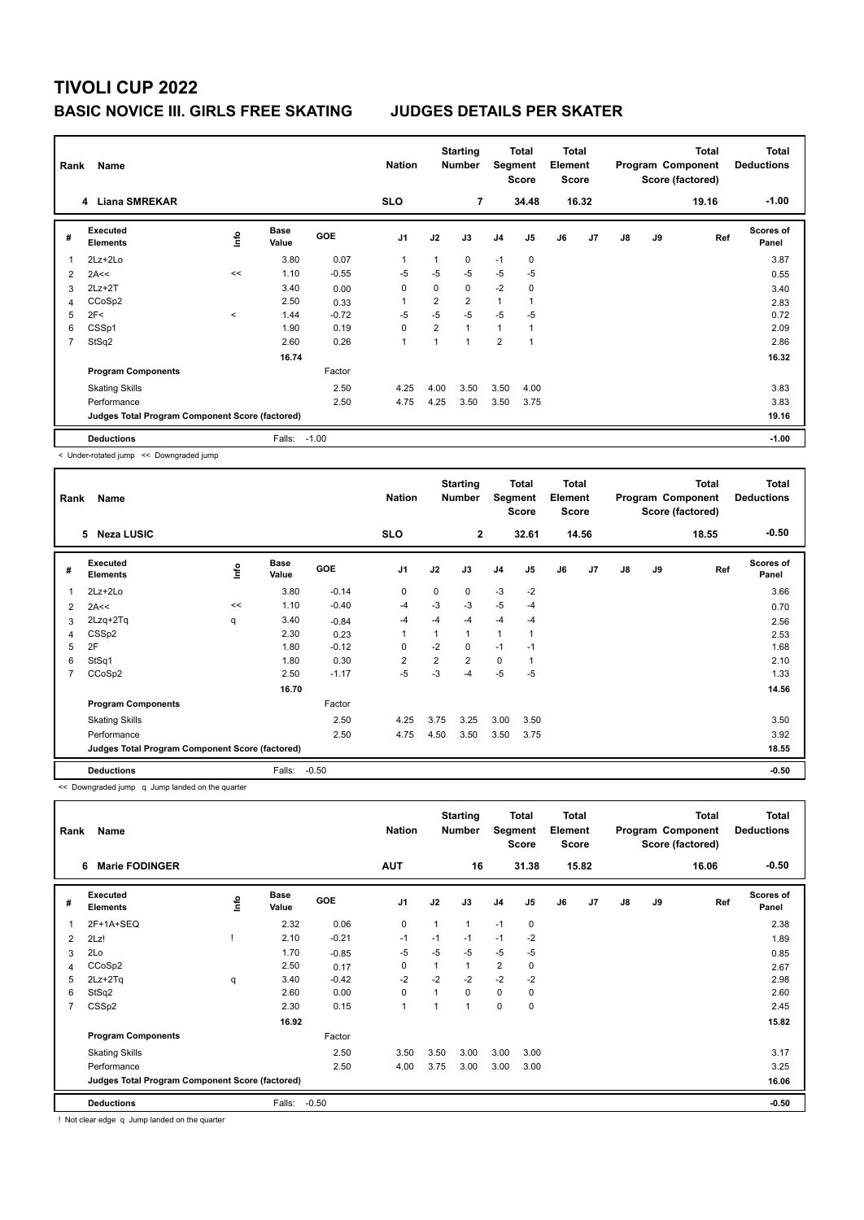| Rank | Name<br>4 Liana SMREKAR                         |            |                      |            |                |                | <b>Starting</b><br><b>Number</b> | Segment        | <b>Total</b><br><b>Score</b> | <b>Total</b><br>Element<br><b>Score</b> |       |               |    | Total<br>Program Component<br>Score (factored) | <b>Total</b><br><b>Deductions</b> |
|------|-------------------------------------------------|------------|----------------------|------------|----------------|----------------|----------------------------------|----------------|------------------------------|-----------------------------------------|-------|---------------|----|------------------------------------------------|-----------------------------------|
|      |                                                 |            |                      |            | <b>SLO</b>     |                | 7                                |                | 34.48                        |                                         | 16.32 |               |    | 19.16                                          | $-1.00$                           |
| #    | Executed<br>Elements                            | <b>Lin</b> | <b>Base</b><br>Value | <b>GOE</b> | J <sub>1</sub> | J2             | J3                               | J <sub>4</sub> | J <sub>5</sub>               | J6                                      | J7    | $\mathsf{J}8$ | J9 | Ref                                            | <b>Scores of</b><br>Panel         |
| 1    | 2Lz+2Lo                                         |            | 3.80                 | 0.07       | $\overline{1}$ |                | $\mathbf 0$                      | $-1$           | $\mathbf 0$                  |                                         |       |               |    |                                                | 3.87                              |
| 2    | 2A<<                                            | <<         | 1.10                 | $-0.55$    | -5             | $-5$           | $-5$                             | $-5$           | $-5$                         |                                         |       |               |    |                                                | 0.55                              |
| 3    | $2Lz+2T$                                        |            | 3.40                 | 0.00       | 0              | 0              | 0                                | $-2$           | 0                            |                                         |       |               |    |                                                | 3.40                              |
| 4    | CCoSp2                                          |            | 2.50                 | 0.33       | 1              | $\overline{2}$ | $\overline{2}$                   | $\mathbf{1}$   |                              |                                         |       |               |    |                                                | 2.83                              |
| 5    | 2F<                                             | $\,<$      | 1.44                 | $-0.72$    | $-5$           | $-5$           | $-5$                             | $-5$           | $-5$                         |                                         |       |               |    |                                                | 0.72                              |
| 6    | CSSp1                                           |            | 1.90                 | 0.19       | 0              | 2              | $\mathbf{1}$                     | 1              |                              |                                         |       |               |    |                                                | 2.09                              |
| 7    | StSq2                                           |            | 2.60                 | 0.26       | $\overline{1}$ |                | 1                                | $\overline{2}$ | 1                            |                                         |       |               |    |                                                | 2.86                              |
|      |                                                 |            | 16.74                |            |                |                |                                  |                |                              |                                         |       |               |    |                                                | 16.32                             |
|      | <b>Program Components</b>                       |            |                      | Factor     |                |                |                                  |                |                              |                                         |       |               |    |                                                |                                   |
|      | <b>Skating Skills</b>                           |            |                      | 2.50       | 4.25           | 4.00           | 3.50                             | 3.50           | 4.00                         |                                         |       |               |    |                                                | 3.83                              |
|      | Performance                                     |            |                      | 2.50       | 4.75           | 4.25           | 3.50                             | 3.50           | 3.75                         |                                         |       |               |    |                                                | 3.83                              |
|      | Judges Total Program Component Score (factored) |            |                      |            |                |                |                                  |                |                              |                                         |       |               |    |                                                | 19.16                             |
|      | <b>Deductions</b>                               |            | Falls:               | $-1.00$    |                |                |                                  |                |                              |                                         |       |               |    |                                                | $-1.00$                           |

< Under-rotated jump << Downgraded jump

| Rank | Name<br><b>Neza LUSIC</b><br>5                  |     |                      |         |                |                | <b>Starting</b><br><b>Number</b> |                | Total<br>Segment<br>Score | Total<br>Element<br><b>Score</b> |                |               |    | Total<br>Program Component<br>Score (factored) | <b>Total</b><br><b>Deductions</b> |
|------|-------------------------------------------------|-----|----------------------|---------|----------------|----------------|----------------------------------|----------------|---------------------------|----------------------------------|----------------|---------------|----|------------------------------------------------|-----------------------------------|
|      |                                                 |     |                      |         | <b>SLO</b>     |                | $\overline{2}$                   |                | 32.61                     |                                  | 14.56          |               |    | 18.55                                          | $-0.50$                           |
| #    | Executed<br><b>Elements</b>                     | ١m٥ | <b>Base</b><br>Value | GOE     | J <sub>1</sub> | J2             | J3                               | J <sub>4</sub> | J5                        | J6                               | J <sub>7</sub> | $\mathsf{J}8$ | J9 | Ref                                            | <b>Scores of</b><br>Panel         |
| 1    | 2Lz+2Lo                                         |     | 3.80                 | $-0.14$ | 0              | 0              | 0                                | $-3$           | $-2$                      |                                  |                |               |    |                                                | 3.66                              |
| 2    | 2A<<                                            | <<  | 1.10                 | $-0.40$ | $-4$           | $-3$           | $-3$                             | $-5$           | $-4$                      |                                  |                |               |    |                                                | 0.70                              |
| 3    | 2Lzq+2Tq                                        | q   | 3.40                 | $-0.84$ | $-4$           | $-4$           | $-4$                             | $-4$           | $-4$                      |                                  |                |               |    |                                                | 2.56                              |
| 4    | CSS <sub>p2</sub>                               |     | 2.30                 | 0.23    | 1              | 1              | 1                                | $\mathbf{1}$   |                           |                                  |                |               |    |                                                | 2.53                              |
| 5    | 2F                                              |     | 1.80                 | $-0.12$ | 0              | $-2$           | 0                                | $-1$           | $-1$                      |                                  |                |               |    |                                                | 1.68                              |
| 6    | StSq1                                           |     | 1.80                 | 0.30    | $\overline{2}$ | $\overline{2}$ | $\overline{2}$                   | $\mathbf 0$    | 1                         |                                  |                |               |    |                                                | 2.10                              |
| 7    | CCoSp2                                          |     | 2.50                 | $-1.17$ | $-5$           | $-3$           | -4                               | $-5$           | $-5$                      |                                  |                |               |    |                                                | 1.33                              |
|      |                                                 |     | 16.70                |         |                |                |                                  |                |                           |                                  |                |               |    |                                                | 14.56                             |
|      | <b>Program Components</b>                       |     |                      | Factor  |                |                |                                  |                |                           |                                  |                |               |    |                                                |                                   |
|      | <b>Skating Skills</b>                           |     |                      | 2.50    | 4.25           | 3.75           | 3.25                             | 3.00           | 3.50                      |                                  |                |               |    |                                                | 3.50                              |
|      | Performance                                     |     |                      | 2.50    | 4.75           | 4.50           | 3.50                             | 3.50           | 3.75                      |                                  |                |               |    |                                                | 3.92                              |
|      | Judges Total Program Component Score (factored) |     |                      |         |                |                |                                  |                |                           |                                  |                |               |    |                                                | 18.55                             |
|      | <b>Deductions</b>                               |     | Falls:               | $-0.50$ |                |                |                                  |                |                           |                                  |                |               |    |                                                | $-0.50$                           |

<< Downgraded jump q Jump landed on the quarter

| Rank           | Name<br><b>Marie FODINGER</b><br>6              |      |                      |            |                |                          | <b>Starting</b><br><b>Number</b> | Segment        | <b>Total</b><br><b>Score</b> | Total<br>Element<br><b>Score</b> |       |               |    | <b>Total</b><br>Program Component<br>Score (factored) | <b>Total</b><br><b>Deductions</b> |
|----------------|-------------------------------------------------|------|----------------------|------------|----------------|--------------------------|----------------------------------|----------------|------------------------------|----------------------------------|-------|---------------|----|-------------------------------------------------------|-----------------------------------|
|                |                                                 |      |                      |            | <b>AUT</b>     |                          | 16                               |                | 31.38                        |                                  | 15.82 |               |    | 16.06                                                 | $-0.50$                           |
| #              | Executed<br><b>Elements</b>                     | ١nf٥ | <b>Base</b><br>Value | <b>GOE</b> | J <sub>1</sub> | J2                       | J3                               | J <sub>4</sub> | J5                           | J6                               | J7    | $\mathsf{J}8$ | J9 | Ref                                                   | <b>Scores of</b><br>Panel         |
|                | 2F+1A+SEQ                                       |      | 2.32                 | 0.06       | $\mathbf 0$    | 1                        | 1                                | $-1$           | $\mathbf 0$                  |                                  |       |               |    |                                                       | 2.38                              |
| 2              | 2Lz!                                            |      | 2.10                 | $-0.21$    | $-1$           | $-1$                     | $-1$                             | $-1$           | $-2$                         |                                  |       |               |    |                                                       | 1.89                              |
| 3              | 2Lo                                             |      | 1.70                 | $-0.85$    | $-5$           | $-5$                     | $-5$                             | $-5$           | $-5$                         |                                  |       |               |    |                                                       | 0.85                              |
| 4              | CCoSp2                                          |      | 2.50                 | 0.17       | $\mathbf 0$    | 1                        | 1                                | $\overline{2}$ | 0                            |                                  |       |               |    |                                                       | 2.67                              |
| 5              | $2Lz + 2Tq$                                     | q    | 3.40                 | $-0.42$    | $-2$           | $-2$                     | $-2$                             | $-2$           | $-2$                         |                                  |       |               |    |                                                       | 2.98                              |
| 6              | StSq2                                           |      | 2.60                 | 0.00       | $\mathbf 0$    | $\overline{ }$           | 0                                | 0              | 0                            |                                  |       |               |    |                                                       | 2.60                              |
| $\overline{7}$ | CSSp2                                           |      | 2.30                 | 0.15       | $\mathbf{1}$   | $\overline{\phantom{a}}$ | 1                                | 0              | 0                            |                                  |       |               |    |                                                       | 2.45                              |
|                |                                                 |      | 16.92                |            |                |                          |                                  |                |                              |                                  |       |               |    |                                                       | 15.82                             |
|                | <b>Program Components</b>                       |      |                      | Factor     |                |                          |                                  |                |                              |                                  |       |               |    |                                                       |                                   |
|                | <b>Skating Skills</b>                           |      |                      | 2.50       | 3.50           | 3.50                     | 3.00                             | 3.00           | 3.00                         |                                  |       |               |    |                                                       | 3.17                              |
|                | Performance                                     |      |                      | 2.50       | 4.00           | 3.75                     | 3.00                             | 3.00           | 3.00                         |                                  |       |               |    |                                                       | 3.25                              |
|                | Judges Total Program Component Score (factored) |      |                      |            |                |                          |                                  |                |                              |                                  |       |               |    |                                                       | 16.06                             |
|                | <b>Deductions</b>                               |      | Falls:               | $-0.50$    |                |                          |                                  |                |                              |                                  |       |               |    |                                                       | $-0.50$                           |

! Not clear edge q Jump landed on the quarter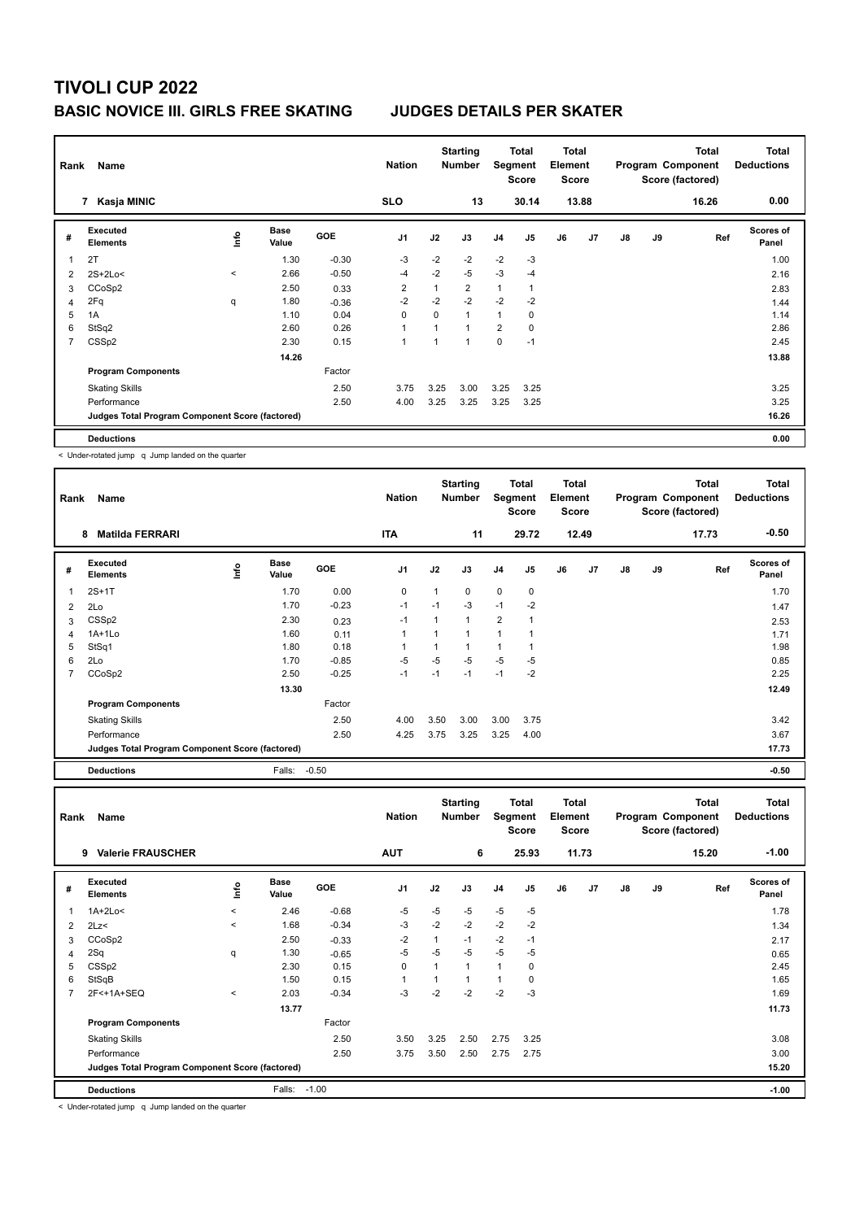| Rank           | Name                                            | <b>Nation</b> |                      | <b>Starting</b><br><b>Number</b> |                | Total<br>Segment<br>Score | Total<br>Element<br><b>Score</b> |                |                |    | <b>Total</b><br>Program Component<br>Score (factored) | <b>Total</b><br><b>Deductions</b> |    |       |                           |
|----------------|-------------------------------------------------|---------------|----------------------|----------------------------------|----------------|---------------------------|----------------------------------|----------------|----------------|----|-------------------------------------------------------|-----------------------------------|----|-------|---------------------------|
|                | Kasja MINIC<br>7                                |               |                      |                                  | <b>SLO</b>     |                           | 13                               |                | 30.14          |    | 13.88                                                 |                                   |    | 16.26 | 0.00                      |
| #              | Executed<br><b>Elements</b>                     | Info          | <b>Base</b><br>Value | GOE                              | J <sub>1</sub> | J2                        | J3                               | J <sub>4</sub> | J <sub>5</sub> | J6 | J7                                                    | $\mathsf{J}8$                     | J9 | Ref   | <b>Scores of</b><br>Panel |
| 1              | 2T                                              |               | 1.30                 | $-0.30$                          | $-3$           | $-2$                      | $-2$                             | $-2$           | $-3$           |    |                                                       |                                   |    |       | 1.00                      |
| 2              | 2S+2Lo<                                         | $\prec$       | 2.66                 | $-0.50$                          | $-4$           | $-2$                      | $-5$                             | $-3$           | $-4$           |    |                                                       |                                   |    |       | 2.16                      |
| 3              | CCoSp2                                          |               | 2.50                 | 0.33                             | $\overline{2}$ | $\overline{1}$            | $\overline{2}$                   | $\mathbf{1}$   | $\overline{1}$ |    |                                                       |                                   |    |       | 2.83                      |
| 4              | 2Fq                                             | q             | 1.80                 | $-0.36$                          | $-2$           | $-2$                      | $-2$                             | $-2$           | $-2$           |    |                                                       |                                   |    |       | 1.44                      |
| 5              | 1A                                              |               | 1.10                 | 0.04                             | 0              | 0                         | $\overline{1}$                   | $\mathbf{1}$   | 0              |    |                                                       |                                   |    |       | 1.14                      |
| 6              | StSq2                                           |               | 2.60                 | 0.26                             | 1              | 1                         | $\overline{1}$                   | 2              | 0              |    |                                                       |                                   |    |       | 2.86                      |
| $\overline{7}$ | CSS <sub>p2</sub>                               |               | 2.30                 | 0.15                             | 1              | $\overline{\phantom{a}}$  | $\overline{1}$                   | 0              | $-1$           |    |                                                       |                                   |    |       | 2.45                      |
|                |                                                 |               | 14.26                |                                  |                |                           |                                  |                |                |    |                                                       |                                   |    |       | 13.88                     |
|                | <b>Program Components</b>                       |               |                      | Factor                           |                |                           |                                  |                |                |    |                                                       |                                   |    |       |                           |
|                | <b>Skating Skills</b>                           |               |                      | 2.50                             | 3.75           | 3.25                      | 3.00                             | 3.25           | 3.25           |    |                                                       |                                   |    |       | 3.25                      |
|                | Performance                                     |               |                      | 2.50                             | 4.00           | 3.25                      | 3.25                             | 3.25           | 3.25           |    |                                                       |                                   |    |       | 3.25                      |
|                | Judges Total Program Component Score (factored) |               |                      |                                  |                |                           |                                  |                |                |    |                                                       |                                   |    |       | 16.26                     |
|                | <b>Deductions</b>                               |               |                      |                                  |                |                           |                                  |                |                |    |                                                       |                                   |    |       | 0.00                      |

< Under-rotated jump q Jump landed on the quarter

| Rank | Name                                            |    | <b>Nation</b>        |            | <b>Starting</b><br><b>Number</b> |      | Total<br>Segment<br><b>Score</b> | <b>Total</b><br>Element<br><b>Score</b> |       |    |       | <b>Total</b><br>Program Component<br>Score (factored) | <b>Total</b><br><b>Deductions</b> |       |                           |
|------|-------------------------------------------------|----|----------------------|------------|----------------------------------|------|----------------------------------|-----------------------------------------|-------|----|-------|-------------------------------------------------------|-----------------------------------|-------|---------------------------|
|      | <b>Matilda FERRARI</b><br>8                     |    |                      |            | <b>ITA</b>                       |      | 11                               |                                         | 29.72 |    | 12.49 |                                                       |                                   | 17.73 | $-0.50$                   |
| #    | Executed<br><b>Elements</b>                     | ١m | <b>Base</b><br>Value | <b>GOE</b> | J <sub>1</sub>                   | J2   | J3                               | J <sub>4</sub>                          | J5    | J6 | J7    | $\mathsf{J}8$                                         | J9                                | Ref   | <b>Scores of</b><br>Panel |
| 1    | $2S+1T$                                         |    | 1.70                 | 0.00       | 0                                | 1    | 0                                | $\pmb{0}$                               | 0     |    |       |                                                       |                                   |       | 1.70                      |
| 2    | 2Lo                                             |    | 1.70                 | $-0.23$    | $-1$                             | $-1$ | $-3$                             | $-1$                                    | $-2$  |    |       |                                                       |                                   |       | 1.47                      |
| 3    | CSS <sub>p2</sub>                               |    | 2.30                 | 0.23       | $-1$                             | 1    | $\overline{1}$                   | $\overline{2}$                          | 1     |    |       |                                                       |                                   |       | 2.53                      |
| 4    | 1A+1Lo                                          |    | 1.60                 | 0.11       | 1                                | 1    |                                  |                                         |       |    |       |                                                       |                                   |       | 1.71                      |
| 5    | StSq1                                           |    | 1.80                 | 0.18       | 1                                |      |                                  |                                         |       |    |       |                                                       |                                   |       | 1.98                      |
| 6    | 2Lo                                             |    | 1.70                 | $-0.85$    | $-5$                             | $-5$ | $-5$                             | $-5$                                    | -5    |    |       |                                                       |                                   |       | 0.85                      |
| 7    | CCoSp2                                          |    | 2.50                 | $-0.25$    | $-1$                             | $-1$ | $-1$                             | $-1$                                    | $-2$  |    |       |                                                       |                                   |       | 2.25                      |
|      |                                                 |    | 13.30                |            |                                  |      |                                  |                                         |       |    |       |                                                       |                                   |       | 12.49                     |
|      | <b>Program Components</b>                       |    |                      | Factor     |                                  |      |                                  |                                         |       |    |       |                                                       |                                   |       |                           |
|      | <b>Skating Skills</b>                           |    |                      | 2.50       | 4.00                             | 3.50 | 3.00                             | 3.00                                    | 3.75  |    |       |                                                       |                                   |       | 3.42                      |
|      | Performance                                     |    |                      | 2.50       | 4.25                             | 3.75 | 3.25                             | 3.25                                    | 4.00  |    |       |                                                       |                                   |       | 3.67                      |
|      | Judges Total Program Component Score (factored) |    |                      |            |                                  |      |                                  |                                         |       |    |       |                                                       |                                   |       | 17.73                     |
|      | <b>Deductions</b>                               |    | Falls:               | $-0.50$    |                                  |      |                                  |                                         |       |    |       |                                                       |                                   |       | $-0.50$                   |

|                | Name<br>Rank<br><b>Valerie FRAUSCHER</b><br>9   |         |                      |            |                |                | <b>Starting</b><br><b>Number</b> | Segment        | <b>Total</b><br><b>Score</b> | <b>Total</b><br>Element<br><b>Score</b> |       |               |    | <b>Total</b><br>Program Component<br>Score (factored) | <b>Total</b><br><b>Deductions</b> |
|----------------|-------------------------------------------------|---------|----------------------|------------|----------------|----------------|----------------------------------|----------------|------------------------------|-----------------------------------------|-------|---------------|----|-------------------------------------------------------|-----------------------------------|
|                |                                                 |         |                      |            | <b>AUT</b>     |                | 6                                |                | 25.93                        |                                         | 11.73 |               |    | 15.20                                                 | $-1.00$                           |
| #              | Executed<br><b>Elements</b>                     | lnfo    | <b>Base</b><br>Value | <b>GOE</b> | J <sub>1</sub> | J2             | J3                               | J <sub>4</sub> | J5                           | J6                                      | J7    | $\mathsf{J}8$ | J9 | Ref                                                   | Scores of<br>Panel                |
| $\mathbf{1}$   | $1A+2Lo<$                                       | $\prec$ | 2.46                 | $-0.68$    | $-5$           | $-5$           | $-5$                             | $-5$           | $-5$                         |                                         |       |               |    |                                                       | 1.78                              |
| 2              | 2Lz                                             | $\prec$ | 1.68                 | $-0.34$    | $-3$           | $-2$           | $-2$                             | $-2$           | $-2$                         |                                         |       |               |    |                                                       | 1.34                              |
| 3              | CCoSp2                                          |         | 2.50                 | $-0.33$    | $-2$           | 1              | $-1$                             | $-2$           | $-1$                         |                                         |       |               |    |                                                       | 2.17                              |
| 4              | 2Sq                                             | q       | 1.30                 | $-0.65$    | $-5$           | $-5$           | $-5$                             | $-5$           | $-5$                         |                                         |       |               |    |                                                       | 0.65                              |
| 5              | CSS <sub>p2</sub>                               |         | 2.30                 | 0.15       | 0              | $\overline{1}$ |                                  | $\mathbf{1}$   | 0                            |                                         |       |               |    |                                                       | 2.45                              |
| 6              | StSqB                                           |         | 1.50                 | 0.15       |                | $\mathbf{1}$   |                                  | $\mathbf{1}$   | 0                            |                                         |       |               |    |                                                       | 1.65                              |
| $\overline{7}$ | 2F<+1A+SEQ                                      | $\prec$ | 2.03                 | $-0.34$    | $-3$           | $-2$           | $-2$                             | $-2$           | $-3$                         |                                         |       |               |    |                                                       | 1.69                              |
|                |                                                 |         | 13.77                |            |                |                |                                  |                |                              |                                         |       |               |    |                                                       | 11.73                             |
|                | <b>Program Components</b>                       |         |                      | Factor     |                |                |                                  |                |                              |                                         |       |               |    |                                                       |                                   |
|                | <b>Skating Skills</b>                           |         |                      | 2.50       | 3.50           | 3.25           | 2.50                             | 2.75           | 3.25                         |                                         |       |               |    |                                                       | 3.08                              |
|                | Performance                                     |         |                      | 2.50       | 3.75           | 3.50           | 2.50                             | 2.75           | 2.75                         |                                         |       |               |    |                                                       | 3.00                              |
|                | Judges Total Program Component Score (factored) |         |                      |            |                |                |                                  |                |                              |                                         |       |               |    |                                                       | 15.20                             |
|                | <b>Deductions</b>                               |         | Falls:               | $-1.00$    |                |                |                                  |                |                              |                                         |       |               |    |                                                       | $-1.00$                           |

< Under-rotated jump q Jump landed on the quarter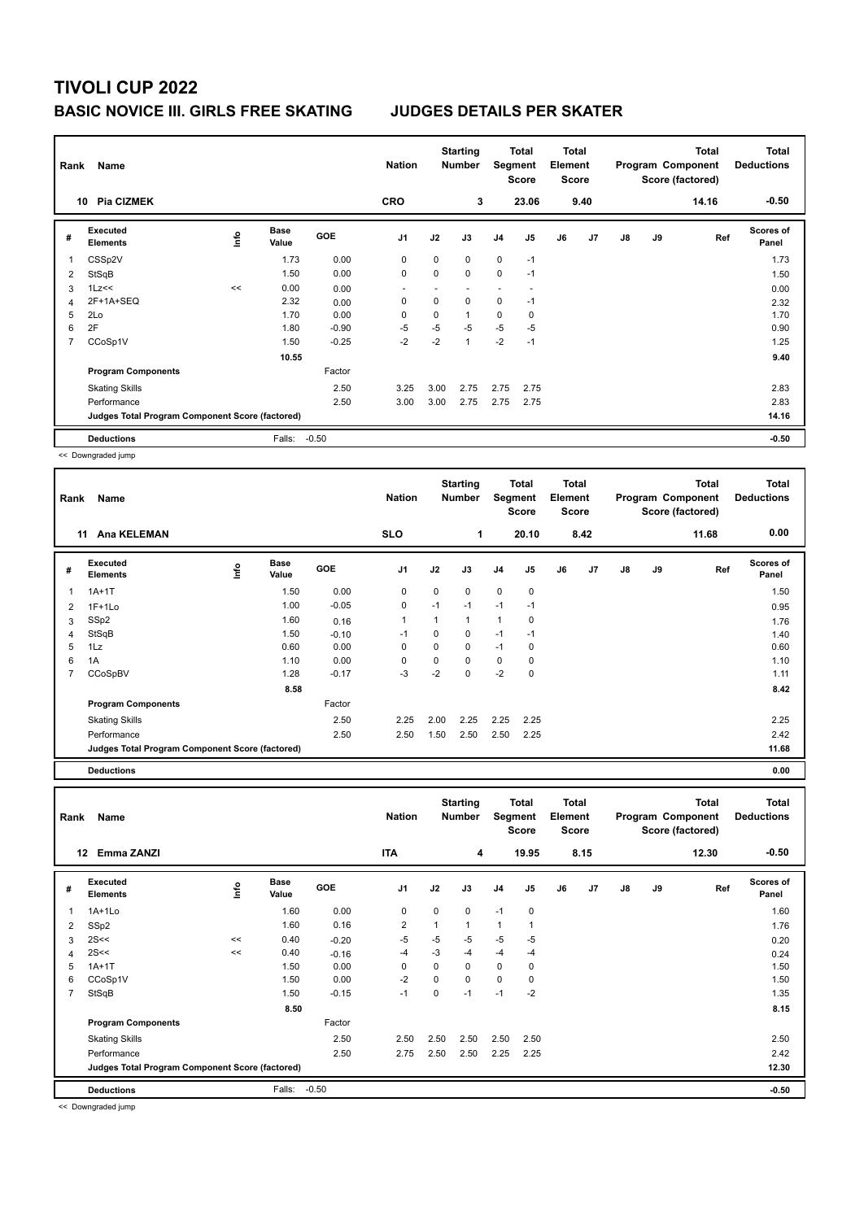| Rank | Name                                            |      |                      |            | <b>Nation</b>  |             | <b>Starting</b><br><b>Number</b> | Segment        | Total<br><b>Score</b> | <b>Total</b><br>Element<br><b>Score</b> |      |               |    | <b>Total</b><br>Program Component<br>Score (factored) | <b>Total</b><br><b>Deductions</b> |
|------|-------------------------------------------------|------|----------------------|------------|----------------|-------------|----------------------------------|----------------|-----------------------|-----------------------------------------|------|---------------|----|-------------------------------------------------------|-----------------------------------|
|      | <b>Pia CIZMEK</b><br>10                         |      |                      |            | <b>CRO</b>     |             | 3                                |                | 23.06                 |                                         | 9.40 |               |    | 14.16                                                 | $-0.50$                           |
| #    | <b>Executed</b><br><b>Elements</b>              | ١nfo | <b>Base</b><br>Value | <b>GOE</b> | J <sub>1</sub> | J2          | J3                               | J <sub>4</sub> | J <sub>5</sub>        | J6                                      | J7   | $\mathsf{J}8$ | J9 | Ref                                                   | <b>Scores of</b><br>Panel         |
| 1    | CSSp2V                                          |      | 1.73                 | 0.00       | 0              | $\mathbf 0$ | $\Omega$                         | $\mathbf 0$    | $-1$                  |                                         |      |               |    |                                                       | 1.73                              |
| 2    | StSqB                                           |      | 1.50                 | 0.00       | $\mathbf 0$    | 0           | $\mathbf 0$                      | 0              | $-1$                  |                                         |      |               |    |                                                       | 1.50                              |
| 3    | 1Lz<<                                           | <<   | 0.00                 | 0.00       |                |             |                                  |                |                       |                                         |      |               |    |                                                       | 0.00                              |
| 4    | 2F+1A+SEQ                                       |      | 2.32                 | 0.00       | 0              | $\mathbf 0$ | $\Omega$                         | 0              | $-1$                  |                                         |      |               |    |                                                       | 2.32                              |
| 5    | 2Lo                                             |      | 1.70                 | 0.00       | 0              | $\mathbf 0$ | $\overline{ }$                   | 0              | 0                     |                                         |      |               |    |                                                       | 1.70                              |
| 6    | 2F                                              |      | 1.80                 | $-0.90$    | -5             | $-5$        | -5                               | $-5$           | -5                    |                                         |      |               |    |                                                       | 0.90                              |
| 7    | CCoSp1V                                         |      | 1.50                 | $-0.25$    | $-2$           | $-2$        | $\overline{1}$                   | $-2$           | $-1$                  |                                         |      |               |    |                                                       | 1.25                              |
|      |                                                 |      | 10.55                |            |                |             |                                  |                |                       |                                         |      |               |    |                                                       | 9.40                              |
|      | <b>Program Components</b>                       |      |                      | Factor     |                |             |                                  |                |                       |                                         |      |               |    |                                                       |                                   |
|      | <b>Skating Skills</b>                           |      |                      | 2.50       | 3.25           | 3.00        | 2.75                             | 2.75           | 2.75                  |                                         |      |               |    |                                                       | 2.83                              |
|      | Performance                                     |      |                      | 2.50       | 3.00           | 3.00        | 2.75                             | 2.75           | 2.75                  |                                         |      |               |    |                                                       | 2.83                              |
|      | Judges Total Program Component Score (factored) |      |                      |            |                |             |                                  |                |                       |                                         |      |               |    |                                                       | 14.16                             |
|      | <b>Deductions</b>                               |      | Falls:               | $-0.50$    |                |             |                                  |                |                       |                                         |      |               |    |                                                       | $-0.50$                           |

<< Downgraded jump

| Rank | Name                                            |    |                      |            | <b>Nation</b>  |      | <b>Starting</b><br><b>Number</b> | Segment        | Total<br><b>Score</b> | <b>Total</b><br>Element<br><b>Score</b> |      |    |    | <b>Total</b><br>Program Component<br>Score (factored) | <b>Total</b><br><b>Deductions</b> |
|------|-------------------------------------------------|----|----------------------|------------|----------------|------|----------------------------------|----------------|-----------------------|-----------------------------------------|------|----|----|-------------------------------------------------------|-----------------------------------|
|      | <b>Ana KELEMAN</b><br>11                        |    |                      |            | <b>SLO</b>     |      | 1                                |                | 20.10                 |                                         | 8.42 |    |    | 11.68                                                 | 0.00                              |
| #    | <b>Executed</b><br><b>Elements</b>              | ١m | <b>Base</b><br>Value | <b>GOE</b> | J <sub>1</sub> | J2   | J3                               | J <sub>4</sub> | J <sub>5</sub>        | J6                                      | J7   | J8 | J9 | Ref                                                   | Scores of<br>Panel                |
| 1    | $1A+1T$                                         |    | 1.50                 | 0.00       | 0              | 0    | 0                                | $\mathbf 0$    | $\mathbf 0$           |                                         |      |    |    |                                                       | 1.50                              |
| 2    | $1F+1Lo$                                        |    | 1.00                 | $-0.05$    | $\mathbf 0$    | $-1$ | $-1$                             | $-1$           | $-1$                  |                                         |      |    |    |                                                       | 0.95                              |
| 3    | SSp2                                            |    | 1.60                 | 0.16       | $\overline{1}$ |      | 1                                | $\overline{1}$ | 0                     |                                         |      |    |    |                                                       | 1.76                              |
| 4    | StSqB                                           |    | 1.50                 | $-0.10$    | $-1$           | 0    | 0                                | $-1$           | $-1$                  |                                         |      |    |    |                                                       | 1.40                              |
| 5    | 1Lz                                             |    | 0.60                 | 0.00       | 0              | 0    | 0                                | $-1$           | 0                     |                                         |      |    |    |                                                       | 0.60                              |
| 6    | 1A                                              |    | 1.10                 | 0.00       | 0              | 0    | $\Omega$                         | $\mathbf 0$    | 0                     |                                         |      |    |    |                                                       | 1.10                              |
|      | CCoSpBV                                         |    | 1.28                 | $-0.17$    | $-3$           | $-2$ | 0                                | $-2$           | $\mathbf 0$           |                                         |      |    |    |                                                       | 1.11                              |
|      |                                                 |    | 8.58                 |            |                |      |                                  |                |                       |                                         |      |    |    |                                                       | 8.42                              |
|      | <b>Program Components</b>                       |    |                      | Factor     |                |      |                                  |                |                       |                                         |      |    |    |                                                       |                                   |
|      | <b>Skating Skills</b>                           |    |                      | 2.50       | 2.25           | 2.00 | 2.25                             | 2.25           | 2.25                  |                                         |      |    |    |                                                       | 2.25                              |
|      | Performance                                     |    |                      | 2.50       | 2.50           | 1.50 | 2.50                             | 2.50           | 2.25                  |                                         |      |    |    |                                                       | 2.42                              |
|      | Judges Total Program Component Score (factored) |    |                      |            |                |      |                                  |                |                       |                                         |      |    |    |                                                       | 11.68                             |
|      | <b>Deductions</b>                               |    |                      |            |                |      |                                  |                |                       |                                         |      |    |    |                                                       | 0.00                              |

**Total Deductions Total Program Component Score (factored) Total Element Score Total Segment Score Starting Rank Name Nation Number # Executed Elements Base Value GOE J1 J2 J3 J4 J5 J6 J7 J8 J9 Scores of Panel** 1 1.60 0.00 0 0 0 -1 0 **Ref**  المعاملة المسابقة المسابقة المسابقة المسابقة المسابقة المسابقة المسابقة المسابقة المسابقة المسابقة المسابقة ال<br>1A+1Lo 1.60 0.00 0 0 0 -1 0 1.60 1.60  **12 Emma ZANZI ITA 4 19.95 8.15 12.30 -0.50** 2 SSp2 1.60 0.16 2 1 1 1 1 1.76  $3 \quad 2$ S<<  $\quad 3 \quad 2$ S<< 0.20  $\quad 40 \quad 0.20$   $\quad -5 \quad -5 \quad -5 \quad -5 \quad -5$ 4 2S<< << 0.40 -0.16 -4 -3 -4 -4 -4 0.24 5 1A+1T 1.50 0.00 0 0 0 0 0 1.50 6 CCoSp1V 1.50 0.00 -2 0 0 0 0 1.50 7 StSqB 1.50 -0.15 -1 0 -1 -1 -2 1.35 **8.50** 8.50 **8.15 Program Components**  Skating Skills 2.50 2.50 2.50 2.50 2.50 2.50 2.50 Factor Performance 2.50 2.75 2.50 2.50 2.25 2.25 2.42 **Deductions** Falls: -0.50 **-0.50 Judges Total Program Component Score (factored) 12.30**

<< Downgraded jump